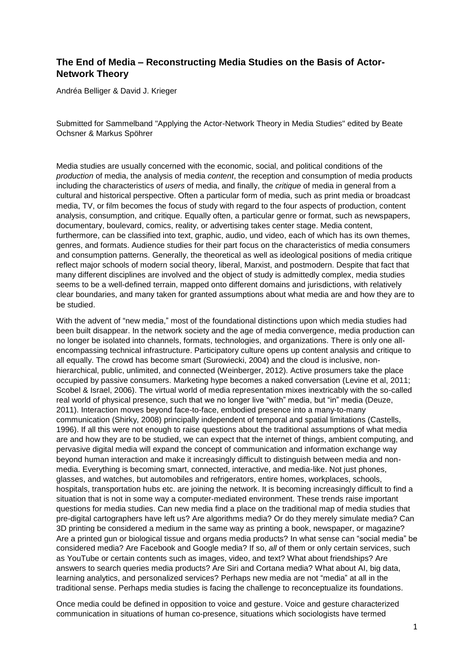## **The End of Media – Reconstructing Media Studies on the Basis of Actor-Network Theory**

Andréa Belliger & David J. Krieger

Submitted for Sammelband "Applying the Actor-Network Theory in Media Studies" edited by Beate Ochsner & Markus Spöhrer

Media studies are usually concerned with the economic, social, and political conditions of the *production* of media, the analysis of media *content*, the reception and consumption of media products including the characteristics of *users* of media, and finally, the *critique* of media in general from a cultural and historical perspective. Often a particular form of media, such as print media or broadcast media, TV, or film becomes the focus of study with regard to the four aspects of production, content analysis, consumption, and critique. Equally often, a particular genre or format, such as newspapers, documentary, boulevard, comics, reality, or advertising takes center stage. Media content, furthermore, can be classified into text, graphic, audio, und video, each of which has its own themes, genres, and formats. Audience studies for their part focus on the characteristics of media consumers and consumption patterns. Generally, the theoretical as well as ideological positions of media critique reflect major schools of modern social theory, liberal, Marxist, and postmodern. Despite that fact that many different disciplines are involved and the object of study is admittedly complex, media studies seems to be a well-defined terrain, mapped onto different domains and jurisdictions, with relatively clear boundaries, and many taken for granted assumptions about what media are and how they are to be studied.

With the advent of "new media," most of the foundational distinctions upon which media studies had been built disappear. In the network society and the age of media convergence, media production can no longer be isolated into channels, formats, technologies, and organizations. There is only one allencompassing technical infrastructure. Participatory culture opens up content analysis and critique to all equally. The crowd has become smart (Surowiecki, 2004) and the cloud is inclusive, nonhierarchical, public, unlimited, and connected (Weinberger, 2012). Active prosumers take the place occupied by passive consumers. Marketing hype becomes a naked conversation (Levine et al, 2011; Scobel & Israel, 2006). The virtual world of media representation mixes inextricably with the so-called real world of physical presence, such that we no longer live "with" media, but "in" media (Deuze, 2011). Interaction moves beyond face-to-face, embodied presence into a many-to-many communication (Shirky, 2008) principally independent of temporal and spatial limitations (Castells, 1996). If all this were not enough to raise questions about the traditional assumptions of what media are and how they are to be studied, we can expect that the internet of things, ambient computing, and pervasive digital media will expand the concept of communication and information exchange way beyond human interaction and make it increasingly difficult to distinguish between media and nonmedia. Everything is becoming smart, connected, interactive, and media-like. Not just phones, glasses, and watches, but automobiles and refrigerators, entire homes, workplaces, schools, hospitals, transportation hubs etc. are joining the network. It is becoming increasingly difficult to find a situation that is not in some way a computer-mediated environment. These trends raise important questions for media studies. Can new media find a place on the traditional map of media studies that pre-digital cartographers have left us? Are algorithms media? Or do they merely simulate media? Can 3D printing be considered a medium in the same way as printing a book, newspaper, or magazine? Are a printed gun or biological tissue and organs media products? In what sense can "social media" be considered media? Are Facebook and Google media? If so, *all* of them or only certain services, such as YouTube or certain contents such as images, video, and text? What about friendships? Are answers to search queries media products? Are Siri and Cortana media? What about AI, big data, learning analytics, and personalized services? Perhaps new media are not "media" at all in the traditional sense. Perhaps media studies is facing the challenge to reconceptualize its foundations.

Once media could be defined in opposition to voice and gesture. Voice and gesture characterized communication in situations of human co-presence, situations which sociologists have termed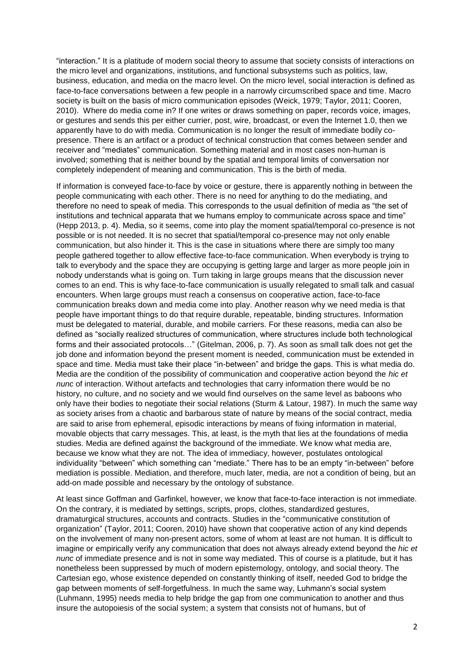"interaction." It is a platitude of modern social theory to assume that society consists of interactions on the micro level and organizations, institutions, and functional subsystems such as politics, law, business, education, and media on the macro level. On the micro level, social interaction is defined as face-to-face conversations between a few people in a narrowly circumscribed space and time. Macro society is built on the basis of micro communication episodes (Weick, 1979; Taylor, 2011; Cooren, 2010). Where do media come in? If one writes or draws something on paper, records voice, images, or gestures and sends this per either currier, post, wire, broadcast, or even the Internet 1.0, then we apparently have to do with media. Communication is no longer the result of immediate bodily copresence. There is an artifact or a product of technical construction that comes between sender and receiver and "mediates" communication. Something material and in most cases non-human is involved; something that is neither bound by the spatial and temporal limits of conversation nor completely independent of meaning and communication. This is the birth of media.

If information is conveyed face-to-face by voice or gesture, there is apparently nothing in between the people communicating with each other. There is no need for anything to do the mediating, and therefore no need to speak of media. This corresponds to the usual definition of media as "the set of institutions and technical apparata that we humans employ to communicate across space and time" (Hepp 2013, p. 4). Media, so it seems, come into play the moment spatial/temporal co-presence is not possible or is not needed. It is no secret that spatial/temporal co-presence may not only enable communication, but also hinder it. This is the case in situations where there are simply too many people gathered together to allow effective face-to-face communication. When everybody is trying to talk to everybody and the space they are occupying is getting large and larger as more people join in nobody understands what is going on. Turn taking in large groups means that the discussion never comes to an end. This is why face-to-face communication is usually relegated to small talk and casual encounters. When large groups must reach a consensus on cooperative action, face-to-face communication breaks down and media come into play. Another reason why we need media is that people have important things to do that require durable, repeatable, binding structures. Information must be delegated to material, durable, and mobile carriers. For these reasons, media can also be defined as "socially realized structures of communication, where structures include both technological forms and their associated protocols…" (Gitelman, 2006, p. 7). As soon as small talk does not get the job done and information beyond the present moment is needed, communication must be extended in space and time. Media must take their place "in-between" and bridge the gaps. This is what media do. Media are the condition of the possibility of communication and cooperative action beyond the *hic et nunc* of interaction. Without artefacts and technologies that carry information there would be no history, no culture, and no society and we would find ourselves on the same level as baboons who only have their bodies to negotiate their social relations (Sturm & Latour, 1987). In much the same way as society arises from a chaotic and barbarous state of nature by means of the social contract, media are said to arise from ephemeral, episodic interactions by means of fixing information in material, movable objects that carry messages. This, at least, is the myth that lies at the foundations of media studies. Media are defined against the background of the immediate. We know what media are, because we know what they are not. The idea of immediacy, however, postulates ontological individuality "between" which something can "mediate." There has to be an empty "in-between" before mediation is possible. Mediation, and therefore, much later, media, are not a condition of being, but an add-on made possible and necessary by the ontology of substance.

At least since Goffman and Garfinkel, however, we know that face-to-face interaction is not immediate. On the contrary, it is mediated by settings, scripts, props, clothes, standardized gestures, dramaturgical structures, accounts and contracts. Studies in the "communicative constitution of organization" (Taylor, 2011; Cooren, 2010) have shown that cooperative action of any kind depends on the involvement of many non-present actors, some of whom at least are not human. It is difficult to imagine or empirically verify any communication that does not always already extend beyond the *hic et nunc* of immediate presence and is not in some way mediated. This of course is a platitude, but it has nonetheless been suppressed by much of modern epistemology, ontology, and social theory. The Cartesian ego, whose existence depended on constantly thinking of itself, needed God to bridge the gap between moments of self-forgetfulness. In much the same way, Luhmann's social system (Luhmann, 1995) needs media to help bridge the gap from one communication to another and thus insure the autopoiesis of the social system; a system that consists not of humans, but of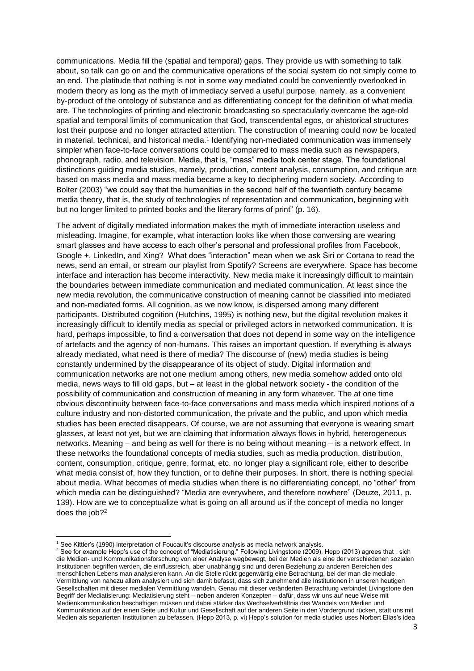communications. Media fill the (spatial and temporal) gaps. They provide us with something to talk about, so talk can go on and the communicative operations of the social system do not simply come to an end. The platitude that nothing is not in some way mediated could be conveniently overlooked in modern theory as long as the myth of immediacy served a useful purpose, namely, as a convenient by-product of the ontology of substance and as differentiating concept for the definition of what media are. The technologies of printing and electronic broadcasting so spectacularly overcame the age-old spatial and temporal limits of communication that God, transcendental egos, or ahistorical structures lost their purpose and no longer attracted attention. The construction of meaning could now be located in material, technical, and historical media.<sup>1</sup> Identifying non-mediated communication was immensely simpler when face-to-face conversations could be compared to mass media such as newspapers, phonograph, radio, and television. Media, that is, "mass" media took center stage. The foundational distinctions guiding media studies, namely, production, content analysis, consumption, and critique are based on mass media and mass media became a key to deciphering modern society. According to Bolter (2003) "we could say that the humanities in the second half of the twentieth century became media theory, that is, the study of technologies of representation and communication, beginning with but no longer limited to printed books and the literary forms of print" (p. 16).

The advent of digitally mediated information makes the myth of immediate interaction useless and misleading. Imagine, for example, what interaction looks like when those conversing are wearing smart glasses and have access to each other's personal and professional profiles from Facebook, Google +, LinkedIn, and Xing? What does "interaction" mean when we ask Siri or Cortana to read the news, send an email, or stream our playlist from Spotify? Screens are everywhere. Space has become interface and interaction has become interactivity. New media make it increasingly difficult to maintain the boundaries between immediate communication and mediated communication. At least since the new media revolution, the communicative construction of meaning cannot be classified into mediated and non-mediated forms. All cognition, as we now know, is dispersed among many different participants. Distributed cognition (Hutchins, 1995) is nothing new, but the digital revolution makes it increasingly difficult to identify media as special or privileged actors in networked communication. It is hard, perhaps impossible, to find a conversation that does not depend in some way on the intelligence of artefacts and the agency of non-humans. This raises an important question. If everything is always already mediated, what need is there of media? The discourse of (new) media studies is being constantly undermined by the disappearance of its object of study. Digital information and communication networks are not one medium among others, new media somehow added onto old media, news ways to fill old gaps, but – at least in the global network society - the condition of the possibility of communication and construction of meaning in any form whatever. The at one time obvious discontinuity between face-to-face conversations and mass media which inspired notions of a culture industry and non-distorted communication, the private and the public, and upon which media studies has been erected disappears. Of course, we are not assuming that everyone is wearing smart glasses, at least not yet, but we are claiming that information always flows in hybrid, heterogeneous networks. Meaning – and being as well for there is no being without meaning – is a network effect. In these networks the foundational concepts of media studies, such as media production, distribution, content, consumption, critique, genre, format, etc. no longer play a significant role, either to describe what media consist of, how they function, or to define their purposes. In short, there is nothing special about media. What becomes of media studies when there is no differentiating concept, no "other" from which media can be distinguished? "Media are everywhere, and therefore nowhere" (Deuze, 2011, p. 139). How are we to conceptualize what is going on all around us if the concept of media no longer does the job? 2

 $\overline{a}$ 

<sup>1</sup> See Kittler's (1990) interpretation of Foucault's discourse analysis as media network analysis.

<sup>&</sup>lt;sup>2</sup> See for example Hepp's use of the concept of "Mediatisierung." Following Livingstone (2009), Hepp (2013) agrees that " sich die Medien- und Kommunikationsforschung von einer Analyse wegbewegt, bei der Medien als eine der verschiedenen sozialen Institutionen begriffen werden, die einflussreich, aber unabhängig sind und deren Beziehung zu anderen Bereichen des menschlichen Lebens man analysieren kann. An die Stelle rückt gegenwärtig eine Betrachtung, bei der man die mediale Vermittlung von nahezu allem analysiert und sich damit befasst, dass sich zunehmend alle Institutionen in unseren heutigen Gesellschaften mit dieser medialen Vermittlung wandeln. Genau mit dieser veränderten Betrachtung verbindet Livingstone den Begriff der Mediatisierung: Mediatisierung steht – neben anderen Konzepten – dafür, dass wir uns auf neue Weise mit Medienkommunikation beschäftigen müssen und dabei stärker das Wechselverhältnis des Wandels von Medien und Kommunikation auf der einen Seite und Kultur und Gesellschaft auf der anderen Seite in den Vordergrund rücken, statt uns mit Medien als separierten Institutionen zu befassen. (Hepp 2013, p. vi) Hepp's solution for media studies uses Norbert Elias's idea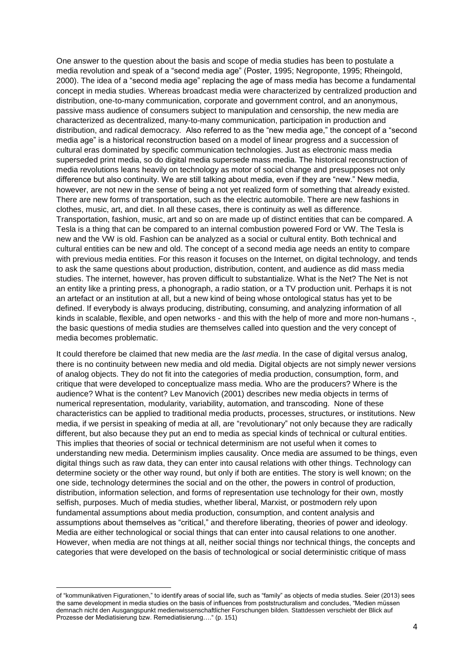One answer to the question about the basis and scope of media studies has been to postulate a media revolution and speak of a "second media age" (Poster, 1995; Negroponte, 1995; Rheingold, 2000). The idea of a "second media age" replacing the age of mass media has become a fundamental concept in media studies. Whereas broadcast media were characterized by centralized production and distribution, one-to-many communication, corporate and government control, and an anonymous, passive mass audience of consumers subject to manipulation and censorship, the new media are characterized as decentralized, many-to-many communication, participation in production and distribution, and radical democracy. Also referred to as the "new media age," the concept of a "second media age" is a historical reconstruction based on a model of linear progress and a succession of cultural eras dominated by specific communication technologies. Just as electronic mass media superseded print media, so do digital media supersede mass media. The historical reconstruction of media revolutions leans heavily on technology as motor of social change and presupposes not only difference but also continuity. We are still talking about media, even if they are "new." New media, however, are not new in the sense of being a not yet realized form of something that already existed. There are new forms of transportation, such as the electric automobile. There are new fashions in clothes, music, art, and diet. In all these cases, there is continuity as well as difference. Transportation, fashion, music, art and so on are made up of distinct entities that can be compared. A Tesla is a thing that can be compared to an internal combustion powered Ford or VW. The Tesla is new and the VW is old. Fashion can be analyzed as a social or cultural entity. Both technical and cultural entities can be new and old. The concept of a second media age needs an entity to compare with previous media entities. For this reason it focuses on the Internet, on digital technology, and tends to ask the same questions about production, distribution, content, and audience as did mass media studies. The internet, however, has proven difficult to substantialize. What is the Net? The Net is not an entity like a printing press, a phonograph, a radio station, or a TV production unit. Perhaps it is not an artefact or an institution at all, but a new kind of being whose ontological status has yet to be defined. If everybody is always producing, distributing, consuming, and analyzing information of all kinds in scalable, flexible, and open networks - and this with the help of more and more non-humans -, the basic questions of media studies are themselves called into question and the very concept of media becomes problematic.

It could therefore be claimed that new media are the *last media*. In the case of digital versus analog, there is no continuity between new media and old media. Digital objects are not simply newer versions of analog objects. They do not fit into the categories of media production, consumption, form, and critique that were developed to conceptualize mass media. Who are the producers? Where is the audience? What is the content? Lev Manovich (2001) describes new media objects in terms of numerical representation, modularity, variability, automation, and transcoding. None of these characteristics can be applied to traditional media products, processes, structures, or institutions. New media, if we persist in speaking of media at all, are "revolutionary" not only because they are radically different, but also because they put an end to media as special kinds of technical or cultural entities. This implies that theories of social or technical determinism are not useful when it comes to understanding new media. Determinism implies causality. Once media are assumed to be things, even digital things such as raw data, they can enter into causal relations with other things. Technology can determine society or the other way round, but only if both are entities. The story is well known; on the one side, technology determines the social and on the other, the powers in control of production, distribution, information selection, and forms of representation use technology for their own, mostly selfish, purposes. Much of media studies, whether liberal, Marxist, or postmodern rely upon fundamental assumptions about media production, consumption, and content analysis and assumptions about themselves as "critical," and therefore liberating, theories of power and ideology. Media are either technological or social things that can enter into causal relations to one another. However, when media are not things at all, neither social things nor technical things, the concepts and categories that were developed on the basis of technological or social deterministic critique of mass

**.** 

of "kommunikativen Figurationen," to identify areas of social life, such as "family" as objects of media studies. Seier (2013) sees the same development in media studies on the basis of influences from poststructuralism and concludes, "Medien müssen demnach nicht den Ausgangspunkt medienwissenschaftlicher Forschungen bilden. Stattdessen verschiebt der Blick auf Prozesse der Mediatisierung bzw. Remediatisierung…." (p. 151)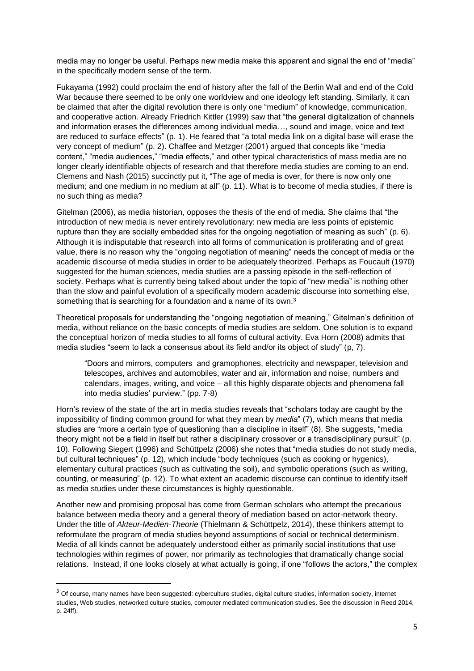media may no longer be useful. Perhaps new media make this apparent and signal the end of "media" in the specifically modern sense of the term.

Fukayama (1992) could proclaim the end of history after the fall of the Berlin Wall and end of the Cold War because there seemed to be only one worldview and one ideology left standing. Similarly, it can be claimed that after the digital revolution there is only one "medium" of knowledge, communication, and cooperative action. Already Friedrich Kittler (1999) saw that "the general digitalization of channels and information erases the differences among individual media…, sound and image, voice and text are reduced to surface effects" (p. 1). He feared that "a total media link on a digital base will erase the very concept of medium" (p. 2). Chaffee and Metzger (2001) argued that concepts like "media content," "media audiences," "media effects," and other typical characteristics of mass media are no longer clearly identifiable objects of research and that therefore media studies are coming to an end. Clemens and Nash (2015) succinctly put it, "The age of media is over, for there is now only one medium; and one medium in no medium at all" (p. 11). What is to become of media studies, if there is no such thing as media?

Gitelman (2006), as media historian, opposes the thesis of the end of media. She claims that "the introduction of new media is never entirely revolutionary: new media are less points of epistemic rupture than they are socially embedded sites for the ongoing negotiation of meaning as such" (p. 6). Although it is indisputable that research into all forms of communication is proliferating and of great value, there is no reason why the "ongoing negotiation of meaning" needs the concept of media or the academic discourse of media studies in order to be adequately theorized. Perhaps as Foucault (1970) suggested for the human sciences, media studies are a passing episode in the self-reflection of society. Perhaps what is currently being talked about under the topic of "new media" is nothing other than the slow and painful evolution of a specifically modern academic discourse into something else, something that is searching for a foundation and a name of its own.<sup>3</sup>

Theoretical proposals for understanding the "ongoing negotiation of meaning," Gitelman's definition of media, without reliance on the basic concepts of media studies are seldom. One solution is to expand the conceptual horizon of media studies to all forms of cultural activity. Eva Horn (2008) admits that media studies "seem to lack a consensus about its field and/or its object of study" (p, 7).

"Doors and mirrors, computers and gramophones, electricity and newspaper, television and telescopes, archives and automobiles, water and air, information and noise, numbers and calendars, images, writing, and voice – all this highly disparate objects and phenomena fall into media studies' purview." (pp. 7-8)

Horn's review of the state of the art in media studies reveals that "scholars today are caught by the impossibility of finding common ground for what they mean by *media*" (7), which means that media studies are "more a certain type of questioning than a discipline in itself" (8). She suggests, "media theory might not be a field in itself but rather a disciplinary crossover or a transdisciplinary pursuit" (p. 10). Following Siegert (1996) and Schüttpelz (2006) she notes that "media studies do not study media, but cultural techniques" (p. 12), which include "body techniques (such as cooking or hygenics), elementary cultural practices (such as cultivating the soil), and symbolic operations (such as writing, counting, or measuring" (p. 12). To what extent an academic discourse can continue to identify itself as media studies under these circumstances is highly questionable.

Another new and promising proposal has come from German scholars who attempt the precarious balance between media theory and a general theory of mediation based on actor-network theory. Under the title of *Akteur-Medien-Theorie* (Thielmann & Schüttpelz, 2014), these thinkers attempt to reformulate the program of media studies beyond assumptions of social or technical determinism. Media of all kinds cannot be adequately understood either as primarily social institutions that use technologies within regimes of power, nor primarily as technologies that dramatically change social relations. Instead, if one looks closely at what actually is going, if one "follows the actors," the complex

1

<sup>&</sup>lt;sup>3</sup> Of course, many names have been suggested: cyberculture studies, digital culture studies, information society, internet studies, Web studies, networked culture studies, computer mediated communication studies. See the discussion in Reed 2014, p. 24ff).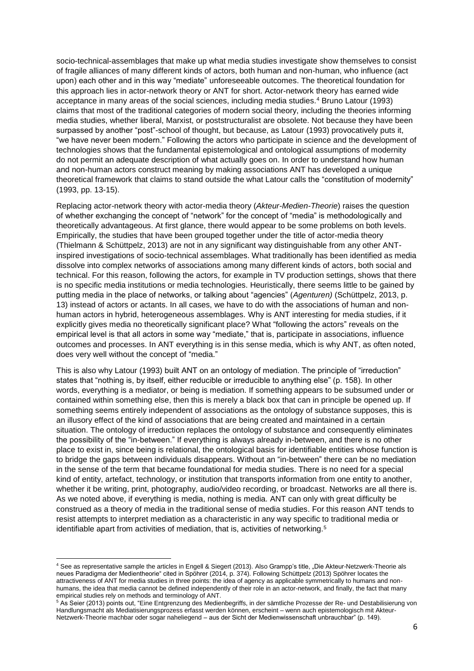socio-technical-assemblages that make up what media studies investigate show themselves to consist of fragile alliances of many different kinds of actors, both human and non-human, who influence (act upon) each other and in this way "mediate" unforeseeable outcomes. The theoretical foundation for this approach lies in actor-network theory or ANT for short. Actor-network theory has earned wide acceptance in many areas of the social sciences, including media studies.<sup>4</sup> Bruno Latour (1993) claims that most of the traditional categories of modern social theory, including the theories informing media studies, whether liberal, Marxist, or poststructuralist are obsolete. Not because they have been surpassed by another "post"-school of thought, but because, as Latour (1993) provocatively puts it, "we have never been modern." Following the actors who participate in science and the development of technologies shows that the fundamental epistemological and ontological assumptions of modernity do not permit an adequate description of what actually goes on. In order to understand how human and non-human actors construct meaning by making associations ANT has developed a unique theoretical framework that claims to stand outside the what Latour calls the "constitution of modernity" (1993, pp. 13-15).

Replacing actor-network theory with actor-media theory (*Akteur-Medien-Theorie*) raises the question of whether exchanging the concept of "network" for the concept of "media" is methodologically and theoretically advantageous. At first glance, there would appear to be some problems on both levels. Empirically, the studies that have been grouped together under the title of actor-media theory (Thielmann & Schüttpelz, 2013) are not in any significant way distinguishable from any other ANTinspired investigations of socio-technical assemblages. What traditionally has been identified as media dissolve into complex networks of associations among many different kinds of actors, both social and technical. For this reason, following the actors, for example in TV production settings, shows that there is no specific media institutions or media technologies. Heuristically, there seems little to be gained by putting media in the place of networks, or talking about "agencies" (*Agenturen)* (Schüttpelz, 2013, p. 13) instead of actors or actants. In all cases, we have to do with the associations of human and nonhuman actors in hybrid, heterogeneous assemblages. Why is ANT interesting for media studies, if it explicitly gives media no theoretically significant place? What "following the actors" reveals on the empirical level is that all actors in some way "mediate," that is, participate in associations, influence outcomes and processes. In ANT everything is in this sense media, which is why ANT, as often noted, does very well without the concept of "media."

This is also why Latour (1993) built ANT on an ontology of mediation. The principle of "irreduction" states that "nothing is, by itself, either reducible or irreducible to anything else" (p. 158). In other words, everything is a mediator, or being is mediation. If something appears to be subsumed under or contained within something else, then this is merely a black box that can in principle be opened up. If something seems entirely independent of associations as the ontology of substance supposes, this is an illusory effect of the kind of associations that are being created and maintained in a certain situation. The ontology of irreduction replaces the ontology of substance and consequently eliminates the possibility of the "in-between." If everything is always already in-between, and there is no other place to exist in, since being is relational, the ontological basis for identifiable entities whose function is to bridge the gaps between individuals disappears. Without an "in-between" there can be no mediation in the sense of the term that became foundational for media studies. There is no need for a special kind of entity, artefact, technology, or institution that transports information from one entity to another, whether it be writing, print, photography, audio/video recording, or broadcast. Networks are all there is. As we noted above, if everything is media, nothing is media. ANT can only with great difficulty be construed as a theory of media in the traditional sense of media studies. For this reason ANT tends to resist attempts to interpret mediation as a characteristic in any way specific to traditional media or identifiable apart from activities of mediation, that is, activities of networking.<sup>5</sup>

**.** 

<sup>&</sup>lt;sup>4</sup> See as representative sample the articles in Engell & Siegert (2013). Also Grampp's title, "Die Akteur-Netzwerk-Theorie als neues Paradigma der Medientheorie" cited in Spöhrer (2014, p. 374). Following Schüttpelz (2013) Spöhrer locates the attractiveness of ANT for media studies in three points: the idea of agency as applicable symmetrically to humans and nonhumans, the idea that media cannot be defined independently of their role in an actor-network, and finally, the fact that many empirical studies rely on methods and terminology of ANT.

<sup>&</sup>lt;sup>5</sup> As Seier (2013) points out, "Eine Entgrenzung des Medienbegriffs, in der sämtliche Prozesse der Re- und Destabilisierung von Handlungsmacht als Mediatisierungsprozess erfasst werden können, erscheint – wenn auch epistemologisch mit Akteur-Netzwerk-Theorie machbar oder sogar naheliegend – aus der Sicht der Medienwissenschaft unbrauchbar" (p. 149).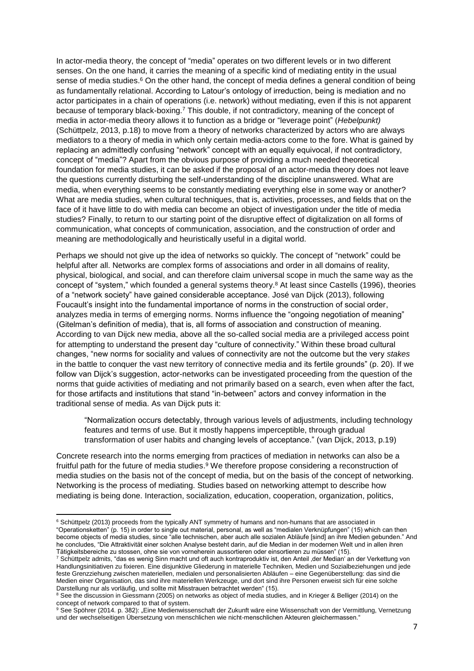In actor-media theory, the concept of "media" operates on two different levels or in two different senses. On the one hand, it carries the meaning of a specific kind of mediating entity in the usual sense of media studies.<sup>6</sup> On the other hand, the concept of media defines a general condition of being as fundamentally relational. According to Latour's ontology of irreduction, being is mediation and no actor participates in a chain of operations (i.e. network) without mediating, even if this is not apparent because of temporary black-boxing.<sup>7</sup> This double, if not contradictory, meaning of the concept of media in actor-media theory allows it to function as a bridge or "leverage point" (*Hebelpunkt)* (Schüttpelz, 2013, p.18) to move from a theory of networks characterized by actors who are always mediators to a theory of media in which only certain media-actors come to the fore. What is gained by replacing an admittedly confusing "network" concept with an equally equivocal, if not contradictory, concept of "media"? Apart from the obvious purpose of providing a much needed theoretical foundation for media studies, it can be asked if the proposal of an actor-media theory does not leave the questions currently disturbing the self-understanding of the discipline unanswered. What are media, when everything seems to be constantly mediating everything else in some way or another? What are media studies, when cultural techniques, that is, activities, processes, and fields that on the face of it have little to do with media can become an object of investigation under the title of media studies? Finally, to return to our starting point of the disruptive effect of digitalization on all forms of communication, what concepts of communication, association, and the construction of order and meaning are methodologically and heuristically useful in a digital world.

Perhaps we should not give up the idea of networks so quickly. The concept of "network" could be helpful after all. Networks are complex forms of associations and order in all domains of reality, physical, biological, and social, and can therefore claim universal scope in much the same way as the concept of "system," which founded a general systems theory.<sup>8</sup> At least since Castells (1996), theories of a "network society" have gained considerable acceptance. José van Dijck (2013), following Foucault's insight into the fundamental importance of norms in the construction of social order, analyzes media in terms of emerging norms. Norms influence the "ongoing negotiation of meaning" (Gitelman's definition of media), that is, all forms of association and construction of meaning. According to van Dijck new media, above all the so-called social media are a privileged access point for attempting to understand the present day "culture of connectivity." Within these broad cultural changes, "new norms for sociality and values of connectivity are not the outcome but the very *stakes*  in the battle to conquer the vast new territory of connective media and its fertile grounds" (p. 20). If we follow van Dijck's suggestion, actor-networks can be investigated proceeding from the question of the norms that guide activities of mediating and not primarily based on a search, even when after the fact, for those artifacts and institutions that stand "in-between" actors and convey information in the traditional sense of media. As van Dijck puts it:

"Normalization occurs detectably, through various levels of adjustments, including technology features and terms of use. But it mostly happens imperceptible, through gradual transformation of user habits and changing levels of acceptance." (van Dijck, 2013, p.19)

Concrete research into the norms emerging from practices of mediation in networks can also be a fruitful path for the future of media studies.<sup>9</sup> We therefore propose considering a reconstruction of media studies on the basis not of the concept of media, but on the basis of the concept of networking. Networking is the process of mediating. Studies based on networking attempt to describe how mediating is being done. Interaction, socialization, education, cooperation, organization, politics,

**<sup>.</sup>** <sup>6</sup> Schüttpelz (2013) proceeds from the typically ANT symmetry of humans and non-humans that are associated in "Operationsketten" (p. 15) in order to single out material, personal, as well as "medialen Verknüpfungen" (15) which can then become objects of media studies, since "alle technischen, aber auch alle sozialen Abläufe [sind] an ihre Medien gebunden." And he concludes, "Die Attraktivität einer solchen Analyse besteht darin, auf die Median in der modernen Welt und in allen ihren Tätigkeitsbereiche zu stossen, ohne sie von vorneherein aussortieren oder einsortieren zu müssen" (15).

<sup>7</sup> Schüttpelz admits, "das es wenig Sinn macht und oft auch kontraproduktiv ist, den Anteil der Median' an der Verkettung von Handlungsinitiativen zu fixieren. Eine disjunktive Gliederung in materielle Techniken, Medien und Sozialbeziehungen und jede feste Grenzziehung zwischen materiellen, medialen und personalisierten Abläufen – eine Gegenüberstellung: das sind die Medien einer Organisation, das sind ihre materiellen Werkzeuge, und dort sind ihre Personen erweist sich für eine solche Darstellung nur als vorläufig, und sollte mit Misstrauen betrachtet werden" (15).

<sup>&</sup>lt;sup>8</sup> See the discussion in Giessmann (2005) on networks as object of media studies, and in Krieger & Belliger (2014) on the concept of network compared to that of system.

<sup>&</sup>lt;sup>9</sup> See Spöhrer (2014. p. 382): "Eine Medienwissenschaft der Zukunft wäre eine Wissenschaft von der Vermittlung, Vernetzung und der wechselseitigen Übersetzung von menschlichen wie nicht-menschlichen Akteuren gleichermassen."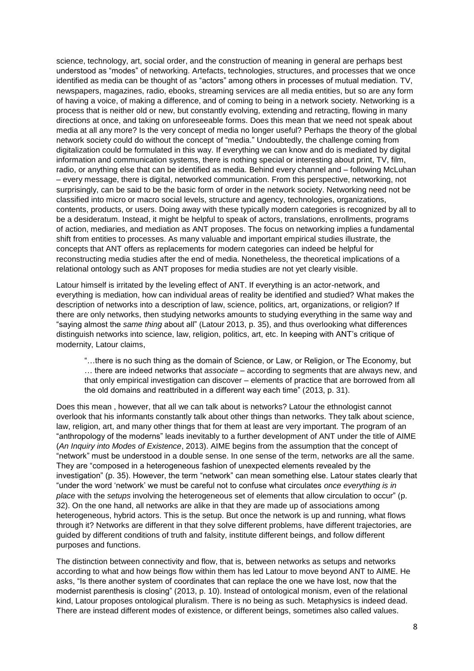science, technology, art, social order, and the construction of meaning in general are perhaps best understood as "modes" of networking. Artefacts, technologies, structures, and processes that we once identified as media can be thought of as "actors" among others in processes of mutual mediation. TV, newspapers, magazines, radio, ebooks, streaming services are all media entities, but so are any form of having a voice, of making a difference, and of coming to being in a network society. Networking is a process that is neither old or new, but constantly evolving, extending and retracting, flowing in many directions at once, and taking on unforeseeable forms. Does this mean that we need not speak about media at all any more? Is the very concept of media no longer useful? Perhaps the theory of the global network society could do without the concept of "media." Undoubtedly, the challenge coming from digitalization could be formulated in this way. If everything we can know and do is mediated by digital information and communication systems, there is nothing special or interesting about print, TV, film, radio, or anything else that can be identified as media. Behind every channel and – following McLuhan – every message, there is digital, networked communication. From this perspective, networking, not surprisingly, can be said to be the basic form of order in the network society. Networking need not be classified into micro or macro social levels, structure and agency, technologies, organizations, contents, products, or users. Doing away with these typically modern categories is recognized by all to be a desideratum. Instead, it might be helpful to speak of actors, translations, enrollments, programs of action, mediaries, and mediation as ANT proposes. The focus on networking implies a fundamental shift from entities to processes. As many valuable and important empirical studies illustrate, the concepts that ANT offers as replacements for modern categories can indeed be helpful for reconstructing media studies after the end of media. Nonetheless, the theoretical implications of a relational ontology such as ANT proposes for media studies are not yet clearly visible.

Latour himself is irritated by the leveling effect of ANT. If everything is an actor-network, and everything is mediation, how can individual areas of reality be identified and studied? What makes the description of networks into a description of law, science, politics, art, organizations, or religion? If there are only networks, then studying networks amounts to studying everything in the same way and "saying almost the *same thing* about all" (Latour 2013, p. 35), and thus overlooking what differences distinguish networks into science, law, religion, politics, art, etc. In keeping with ANT's critique of modernity, Latour claims,

"…there is no such thing as the domain of Science, or Law, or Religion, or The Economy, but … there are indeed networks that *associate* – according to segments that are always new, and that only empirical investigation can discover – elements of practice that are borrowed from all the old domains and reattributed in a different way each time" (2013, p. 31).

Does this mean , however, that all we can talk about is networks? Latour the ethnologist cannot overlook that his informants constantly talk about other things than networks. They talk about science, law, religion, art, and many other things that for them at least are very important. The program of an "anthropology of the moderns" leads inevitably to a further development of ANT under the title of AIME (*An Inquiry into Modes of Existence*, 2013). AIME begins from the assumption that the concept of "network" must be understood in a double sense. In one sense of the term, networks are all the same. They are "composed in a heterogeneous fashion of unexpected elements revealed by the investigation" (p. 35). However, the term "network" can mean something else. Latour states clearly that "under the word 'network' we must be careful not to confuse what circulates *once everything is in place* with the *setups* involving the heterogeneous set of elements that allow circulation to occur" (p. 32). On the one hand, all networks are alike in that they are made up of associations among heterogeneous, hybrid actors. This is the setup. But once the network is up and running, what flows through it? Networks are different in that they solve different problems, have different trajectories, are guided by different conditions of truth and falsity, institute different beings, and follow different purposes and functions.

The distinction between connectivity and flow, that is, between networks as setups and networks according to what and how beings flow within them has led Latour to move beyond ANT to AIME. He asks, "Is there another system of coordinates that can replace the one we have lost, now that the modernist parenthesis is closing" (2013, p. 10). Instead of ontological monism, even of the relational kind, Latour proposes ontological pluralism. There is no being as such. Metaphysics is indeed dead. There are instead different modes of existence, or different beings, sometimes also called values.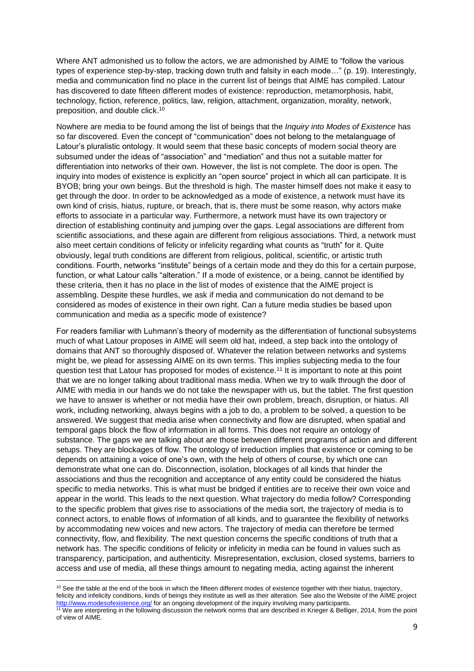Where ANT admonished us to follow the actors, we are admonished by AIME to "follow the various types of experience step-by-step, tracking down truth and falsity in each mode…" (p. 19). Interestingly, media and communication find no place in the current list of beings that AIME has compiled. Latour has discovered to date fifteen different modes of existence: reproduction, metamorphosis, habit, technology, fiction, reference, politics, law, religion, attachment, organization, morality, network, preposition, and double click. 10

Nowhere are media to be found among the list of beings that the *Inquiry into Modes of Existence* has so far discovered. Even the concept of "communication" does not belong to the metalanguage of Latour's pluralistic ontology. It would seem that these basic concepts of modern social theory are subsumed under the ideas of "association" and "mediation" and thus not a suitable matter for differentiation into networks of their own. However, the list is not complete. The door is open. The inquiry into modes of existence is explicitly an "open source" project in which all can participate. It is BYOB; bring your own beings. But the threshold is high. The master himself does not make it easy to get through the door. In order to be acknowledged as a mode of existence, a network must have its own kind of crisis, hiatus, rupture, or breach, that is, there must be some reason, why actors make efforts to associate in a particular way. Furthermore, a network must have its own trajectory or direction of establishing continuity and jumping over the gaps. Legal associations are different from scientific associations, and these again are different from religious associations. Third, a network must also meet certain conditions of felicity or infelicity regarding what counts as "truth" for it. Quite obviously, legal truth conditions are different from religious, political, scientific, or artistic truth conditions. Fourth, networks "institute" beings of a certain mode and they do this for a certain purpose, function, or what Latour calls "alteration." If a mode of existence, or a being, cannot be identified by these criteria, then it has no place in the list of modes of existence that the AIME project is assembling. Despite these hurdles, we ask if media and communication do not demand to be considered as modes of existence in their own right. Can a future media studies be based upon communication and media as a specific mode of existence?

For readers familiar with Luhmann's theory of modernity as the differentiation of functional subsystems much of what Latour proposes in AIME will seem old hat, indeed, a step back into the ontology of domains that ANT so thoroughly disposed of. Whatever the relation between networks and systems might be, we plead for assessing AIME on its own terms. This implies subjecting media to the four question test that Latour has proposed for modes of existence.<sup>11</sup> It is important to note at this point that we are no longer talking about traditional mass media. When we try to walk through the door of AIME with media in our hands we do not take the newspaper with us, but the tablet. The first question we have to answer is whether or not media have their own problem, breach, disruption, or hiatus. All work, including networking, always begins with a job to do, a problem to be solved, a question to be answered. We suggest that media arise when connectivity and flow are disrupted, when spatial and temporal gaps block the flow of information in all forms. This does not require an ontology of substance. The gaps we are talking about are those between different programs of action and different setups. They are blockages of flow. The ontology of irreduction implies that existence or coming to be depends on attaining a voice of one's own, with the help of others of course, by which one can demonstrate what one can do. Disconnection, isolation, blockages of all kinds that hinder the associations and thus the recognition and acceptance of any entity could be considered the hiatus specific to media networks. This is what must be bridged if entities are to receive their own voice and appear in the world. This leads to the next question. What trajectory do media follow? Corresponding to the specific problem that gives rise to associations of the media sort, the trajectory of media is to connect actors, to enable flows of information of all kinds, and to guarantee the flexibility of networks by accommodating new voices and new actors. The trajectory of media can therefore be termed connectivity, flow, and flexibility. The next question concerns the specific conditions of truth that a network has. The specific conditions of felicity or infelicity in media can be found in values such as transparency, participation, and authenticity. Misrepresentation, exclusion, closed systems, barriers to access and use of media, all these things amount to negating media, acting against the inherent

**.** 

 $10$  See the table at the end of the book in which the fifteen different modes of existence together with their hiatus, trajectory, felicity and infelicity conditions, kinds of beings they institute as well as their alteration. See also the Website of the AIME project <http://www.modesofexistence.org/> for an ongoing development of the inquiry involving many participants.

<sup>&</sup>lt;sup>11</sup> We are interpreting in the following discussion the network norms that are described in Krieger & Belliger, 2014, from the point of view of AIME.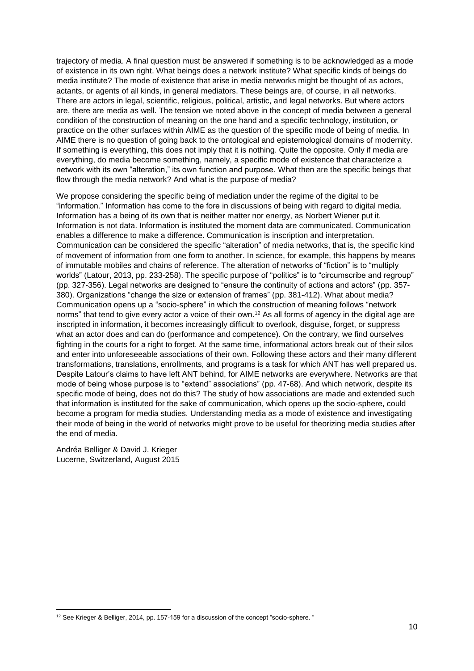trajectory of media. A final question must be answered if something is to be acknowledged as a mode of existence in its own right. What beings does a network institute? What specific kinds of beings do media institute? The mode of existence that arise in media networks might be thought of as actors, actants, or agents of all kinds, in general mediators. These beings are, of course, in all networks. There are actors in legal, scientific, religious, political, artistic, and legal networks. But where actors are, there are media as well. The tension we noted above in the concept of media between a general condition of the construction of meaning on the one hand and a specific technology, institution, or practice on the other surfaces within AIME as the question of the specific mode of being of media. In AIME there is no question of going back to the ontological and epistemological domains of modernity. If something is everything, this does not imply that it is nothing. Quite the opposite. Only if media are everything, do media become something, namely, a specific mode of existence that characterize a network with its own "alteration," its own function and purpose. What then are the specific beings that flow through the media network? And what is the purpose of media?

We propose considering the specific being of mediation under the regime of the digital to be "information." Information has come to the fore in discussions of being with regard to digital media. Information has a being of its own that is neither matter nor energy, as Norbert Wiener put it. Information is not data. Information is instituted the moment data are communicated. Communication enables a difference to make a difference. Communication is inscription and interpretation. Communication can be considered the specific "alteration" of media networks, that is, the specific kind of movement of information from one form to another. In science, for example, this happens by means of immutable mobiles and chains of reference. The alteration of networks of "fiction" is to "multiply worlds" (Latour, 2013, pp. 233-258). The specific purpose of "politics" is to "circumscribe and regroup" (pp. 327-356). Legal networks are designed to "ensure the continuity of actions and actors" (pp. 357- 380). Organizations "change the size or extension of frames" (pp. 381-412). What about media? Communication opens up a "socio-sphere" in which the construction of meaning follows "network norms" that tend to give every actor a voice of their own.<sup>12</sup> As all forms of agency in the digital age are inscripted in information, it becomes increasingly difficult to overlook, disguise, forget, or suppress what an actor does and can do (performance and competence). On the contrary, we find ourselves fighting in the courts for a right to forget. At the same time, informational actors break out of their silos and enter into unforeseeable associations of their own. Following these actors and their many different transformations, translations, enrollments, and programs is a task for which ANT has well prepared us. Despite Latour's claims to have left ANT behind, for AIME networks are everywhere. Networks are that mode of being whose purpose is to "extend" associations" (pp. 47-68). And which network, despite its specific mode of being, does not do this? The study of how associations are made and extended such that information is instituted for the sake of communication, which opens up the socio-sphere, could become a program for media studies. Understanding media as a mode of existence and investigating their mode of being in the world of networks might prove to be useful for theorizing media studies after the end of media.

Andréa Belliger & David J. Krieger Lucerne, Switzerland, August 2015

**<sup>.</sup>** <sup>12</sup> See Krieger & Belliger, 2014, pp. 157-159 for a discussion of the concept "socio-sphere. "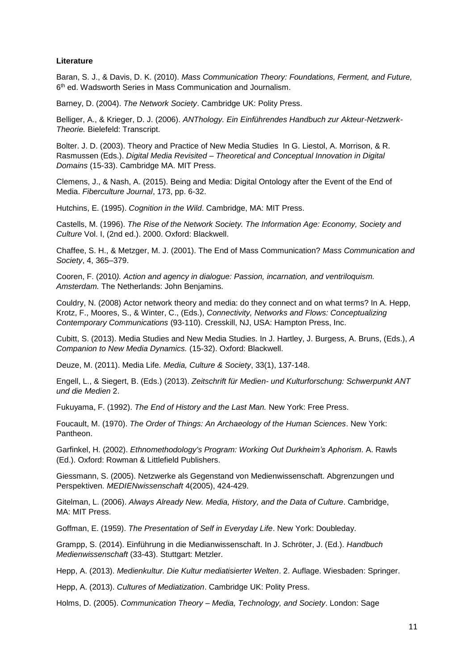## **Literature**

Baran, S. J., & Davis, D. K. (2010). *Mass Communication Theory: Foundations, Ferment, and Future,*  6 th ed. Wadsworth Series in Mass Communication and Journalism.

Barney, D. (2004). *The Network Society*. Cambridge UK: Polity Press.

Belliger, A., & Krieger, D. J. (2006). *ANThology. Ein Einführendes Handbuch zur Akteur-Netzwerk-Theorie.* Bielefeld: Transcript.

Bolter. J. D. (2003). Theory and Practice of New Media Studies In G. Liestol, A. Morrison, & R. Rasmussen (Eds.). *Digital Media Revisited – Theoretical and Conceptual Innovation in Digital Domains* (15-33). Cambridge MA. MIT Press.

Clemens, J., & Nash, A. (2015). Being and Media: Digital Ontology after the Event of the End of Media. *Fiberculture Journal*, 173, pp. 6-32.

Hutchins, E. (1995). *Cognition in the Wild*. Cambridge, MA: [MIT Press.](https://en.wikipedia.org/wiki/MIT_Press)

Castells, M. (1996). *The Rise of the Network Society. The Information Age: Economy, Society and Culture* Vol. I, (2nd ed.). 2000. Oxford: Blackwell.

Chaffee, S. H., & Metzger, M. J. (2001). The End of Mass Communication? *Mass Communication and Society*, 4, 365–379.

Cooren, F. (2010*). Action and agency in dialogue: Passion, incarnation, and ventriloquism. Amsterdam.* The Netherlands: John Benjamins.

Couldry, N. (2008) Actor network theory and media: do they connect and on what terms? In A. Hepp, Krotz, F., Moores, S., & Winter, C., (Eds.), *Connectivity, Networks and Flows: Conceptualizing Contemporary Communications* (93-110). Cresskill, NJ, USA: Hampton Press, Inc.

Cubitt, S. (2013). Media Studies and New Media Studies. In J. Hartley, J. Burgess, A. Bruns, (Eds.), *A Companion to New Media Dynamics.* (15-32). Oxford: Blackwell.

Deuze, M. (2011). Media Life*. Media, Culture & Society*, 33(1), 137-148.

Engell, L., & Siegert, B. (Eds.) (2013). *Zeitschrift für Medien- und Kulturforschung: Schwerpunkt ANT und die Medien* 2.

Fukuyama, F. (1992). *The End of History and the Last Man.* New York: Free Press.

Foucault, M. (1970). *The Order of Things: An Archaeology of the Human Sciences*. New York: Pantheon.

Garfinkel, H. (2002). *Ethnomethodology's Program: Working Out Durkheim's Aphorism*. A. Rawls (Ed.). Oxford: Rowman & Littlefield Publishers.

Giessmann, S. (2005). Netzwerke als Gegenstand von Medienwissenschaft. Abgrenzungen und Perspektiven. *MEDIENwissenschaft* 4(2005), 424-429.

Gitelman, L. (2006). *Always Already New. Media, History, and the Data of Culture*. Cambridge, MA: [MIT Press.](https://en.wikipedia.org/wiki/MIT_Press)

Goffman, E. (1959). *The Presentation of Self in Everyday Life*. New York: Doubleday.

Grampp, S. (2014). Einführung in die Medianwissenschaft. In J. Schröter, J. (Ed.). *Handbuch Medienwissenschaft* (33-43). Stuttgart: Metzler.

Hepp, A. (2013). *Medienkultur. Die Kultur mediatisierter Welten*. 2. Auflage. Wiesbaden: Springer.

Hepp, A. (2013). *Cultures of Mediatization*. Cambridge UK: Polity Press.

Holms, D. (2005). *Communication Theory – Media, Technology, and Society*. London: Sage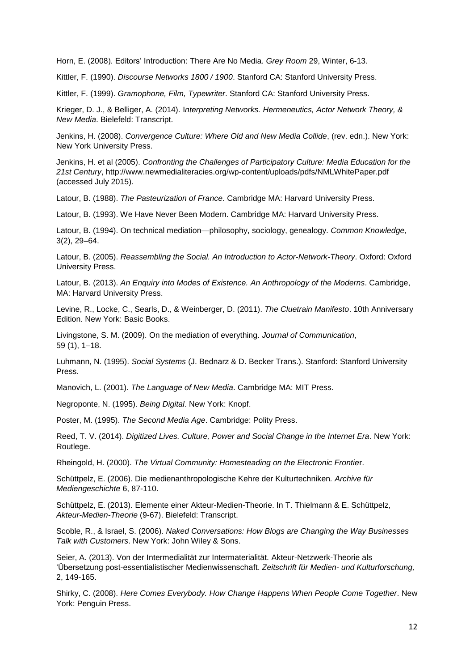Horn, E. (2008). Editors' Introduction: There Are No Media. *Grey Room* 29, Winter, 6-13.

Kittler, F. (1990). *Discourse Networks 1800 / 1900*. Stanford CA: Stanford University Press.

Kittler, F. (1999). *Gramophone, Film, Typewriter*. Stanford CA: Stanford University Press.

Krieger, D. J., & Belliger, A. (2014). I*nterpreting Networks. Hermeneutics, Actor Network Theory, & New Media*. Bielefeld: Transcript.

Jenkins, H. (2008). *Convergence Culture: Where Old and New Media Collide*, (rev. edn.). New York: New York University Press.

Jenkins, H. et al (2005). *Confronting the Challenges of Participatory Culture: Media Education for the 21st Century*, http://www.newmedialiteracies.org/wp-content/uploads/pdfs/NMLWhitePaper.pdf (accessed July 2015).

Latour, B. (1988). *The Pasteurization of France*. Cambridge MA: Harvard University Press.

Latour, B. (1993). We Have Never Been Modern. Cambridge MA: Harvard University Press.

Latour, B. (1994). On technical mediation—philosophy, sociology, genealogy. *Common Knowledge,* 3(2), 29–64.

Latour, B. (2005). *Reassembling the Social. An Introduction to Actor-Network-Theory*. Oxford: Oxford University Press.

Latour, B. (2013). *An Enquiry into Modes of Existence. An Anthropology of the Moderns*. Cambridge, MA: Harvard University Press.

Levine, R., Locke, C., Searls, D., & Weinberger, D. (2011). *The Cluetrain Manifesto*. 10th Anniversary Edition. New York: Basic Books.

Livingstone, S. M. (2009). On the mediation of everything. *Journal of Communication*, 59 (1), 1–18.

Luhmann, N. (1995). *Social Systems* (J. Bednarz & D. Becker Trans.). Stanford: Stanford University Press.

Manovich, L. (2001). *The Language of New Media*. Cambridge MA: MIT Press.

Negroponte, N. (1995). *Being Digital*. New York: Knopf.

Poster, M. (1995). *The Second Media Age*. Cambridge: Polity Press.

Reed, T. V. (2014). *Digitized Lives. Culture, Power and Social Change in the Internet Era*. New York: Routlege.

Rheingold, H. (2000). *The Virtual Community: Homesteading on the Electronic Frontie*r.

Schüttpelz, E. (2006). Die medienanthropologische Kehre der Kulturtechniken*. Archive für Mediengeschichte* 6, 87-110.

Schüttpelz, E. (2013). Elemente einer Akteur-Medien-Theorie. In T. Thielmann & E. Schüttpelz, *Akteur-Medien-Theorie* (9-67). Bielefeld: Transcript.

Scoble, R., & Israel, S. (2006). *Naked Conversations: How Blogs are Changing the Way Businesses Talk with Customers*. New York: John Wiley & Sons.

Seier, A. (2013). Von der Intermedialität zur Intermaterialität. Akteur-Netzwerk-Theorie als 'Übersetzung post-essentialistischer Medienwissenschaft. *Zeitschrift für Medien- und Kulturforschung,* 2, 149-165.

Shirky, C. (2008). *Here Comes Everybody. How Change Happens When People Come Together*. New York: Penguin Press.